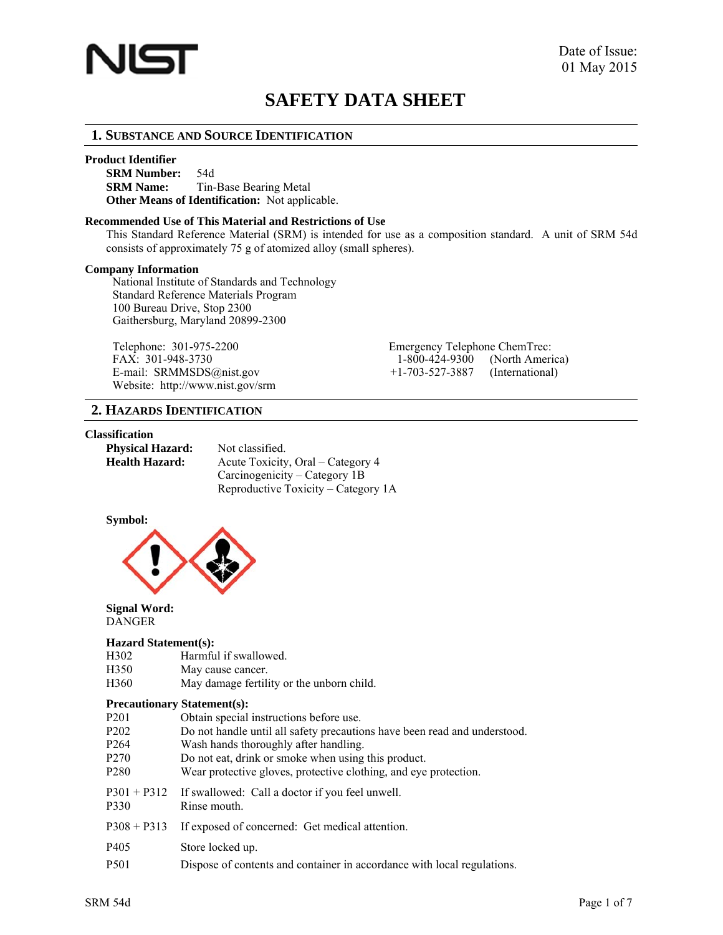

# **SAFETY DATA SHEET**

# **1. SUBSTANCE AND SOURCE IDENTIFICATION**

#### **Product Identifier**

**SRM Number:** 54d **SRM Name:** Tin-Base Bearing Metal **Other Means of Identification:** Not applicable.

#### **Recommended Use of This Material and Restrictions of Use**

This Standard Reference Material (SRM) is intended for use as a composition standard. A unit of SRM 54d consists of approximately 75 g of atomized alloy (small spheres).

#### **Company Information**

National Institute of Standards and Technology Standard Reference Materials Program 100 Bureau Drive, Stop 2300 Gaithersburg, Maryland 20899-2300

Telephone: 301-975-2200 Emergency Telephone FAX: 301-948-3730 E-mail: SRMMSDS@nist.gov Website: http://www.nist.gov/srm

| Emergency Telephone Chem Frec: |                 |
|--------------------------------|-----------------|
| 1-800-424-9300                 | (North America) |
| $+1 - 703 - 527 - 3887$        | (International) |

# **2. HAZARDS IDENTIFICATION**

# **Classification**

| <b>Physical Hazard:</b> | Not classified.                     |
|-------------------------|-------------------------------------|
| Health Hazard:          | Acute Toxicity, Oral – Category 4   |
|                         | Carcinogenicity – Category 1B       |
|                         | Reproductive Toxicity – Category 1A |

#### **Symbol:**



#### **Signal Word:** DANGER

#### **Hazard Statement(s):**

| H302 | Harmful if swallowed. |
|------|-----------------------|
| H350 | May cause cancer.     |

H360 May damage fertility or the unborn child.

#### **Precautionary Statement(s):**

| P <sub>201</sub> |  |  | Obtain special instructions before use. |  |
|------------------|--|--|-----------------------------------------|--|
|------------------|--|--|-----------------------------------------|--|

- P202 Do not handle until all safety precautions have been read and understood.
- P264 Wash hands thoroughly after handling.
- P270 Do not eat, drink or smoke when using this product.
- P280 Wear protective gloves, protective clothing, and eye protection.

P301 + P312 If swallowed: Call a doctor if you feel unwell.

- P330 Rinse mouth.
- P308 + P313 If exposed of concerned: Get medical attention.
- P405 Store locked up.
- P501 Dispose of contents and container in accordance with local regulations.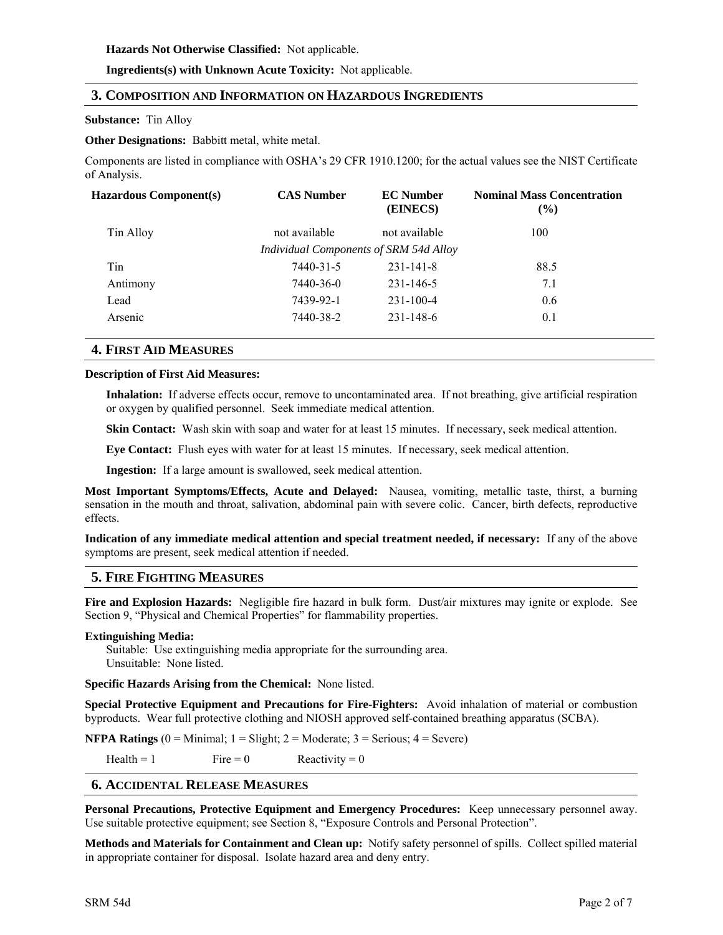# **Hazards Not Otherwise Classified:** Not applicable.

**Ingredients(s) with Unknown Acute Toxicity:** Not applicable.

# **3. COMPOSITION AND INFORMATION ON HAZARDOUS INGREDIENTS**

# **Substance:** Tin Alloy

**Other Designations:** Babbitt metal, white metal.

Components are listed in compliance with OSHA's 29 CFR 1910.1200; for the actual values see the NIST Certificate of Analysis.

| Hazardous Component(s) | <b>CAS Number</b>                      | <b>EC</b> Number<br>(EINECS) | <b>Nominal Mass Concentration</b><br>$($ %) |
|------------------------|----------------------------------------|------------------------------|---------------------------------------------|
| Tin Alloy              | not available                          | not available                | 100                                         |
|                        | Individual Components of SRM 54d Alloy |                              |                                             |
| Tin                    | 7440-31-5                              | $231 - 141 - 8$              | 88.5                                        |
| Antimony               | 7440-36-0                              | 231-146-5                    | 7.1                                         |
| Lead                   | 7439-92-1                              | $231 - 100 - 4$              | 0.6                                         |
| Arsenic                | 7440-38-2                              | $231 - 148 - 6$              | 0.1                                         |
|                        |                                        |                              |                                             |

# **4. FIRST AID MEASURES**

# **Description of First Aid Measures:**

**Inhalation:** If adverse effects occur, remove to uncontaminated area. If not breathing, give artificial respiration or oxygen by qualified personnel. Seek immediate medical attention.

**Skin Contact:** Wash skin with soap and water for at least 15 minutes. If necessary, seek medical attention.

**Eye Contact:** Flush eyes with water for at least 15 minutes. If necessary, seek medical attention.

**Ingestion:** If a large amount is swallowed, seek medical attention.

**Most Important Symptoms/Effects, Acute and Delayed:** Nausea, vomiting, metallic taste, thirst, a burning sensation in the mouth and throat, salivation, abdominal pain with severe colic. Cancer, birth defects, reproductive effects.

**Indication of any immediate medical attention and special treatment needed, if necessary:** If any of the above symptoms are present, seek medical attention if needed.

# **5. FIRE FIGHTING MEASURES**

**Fire and Explosion Hazards:** Negligible fire hazard in bulk form. Dust/air mixtures may ignite or explode. See Section 9, "Physical and Chemical Properties" for flammability properties.

#### **Extinguishing Media:**

Suitable: Use extinguishing media appropriate for the surrounding area. Unsuitable: None listed.

**Specific Hazards Arising from the Chemical:** None listed.

**Special Protective Equipment and Precautions for Fire-Fighters:** Avoid inhalation of material or combustion byproducts. Wear full protective clothing and NIOSH approved self-contained breathing apparatus (SCBA).

**NFPA Ratings**  $(0 = \text{Minimal}; 1 = \text{Slight}; 2 = \text{Modern}; 3 = \text{Serious}; 4 = \text{Server})$ 

Health = 1 Fire = 0 Reactivity = 0

# **6. ACCIDENTAL RELEASE MEASURES**

**Personal Precautions, Protective Equipment and Emergency Procedures:** Keep unnecessary personnel away. Use suitable protective equipment; see Section 8, "Exposure Controls and Personal Protection".

**Methods and Materials for Containment and Clean up:** Notify safety personnel of spills. Collect spilled material in appropriate container for disposal. Isolate hazard area and deny entry.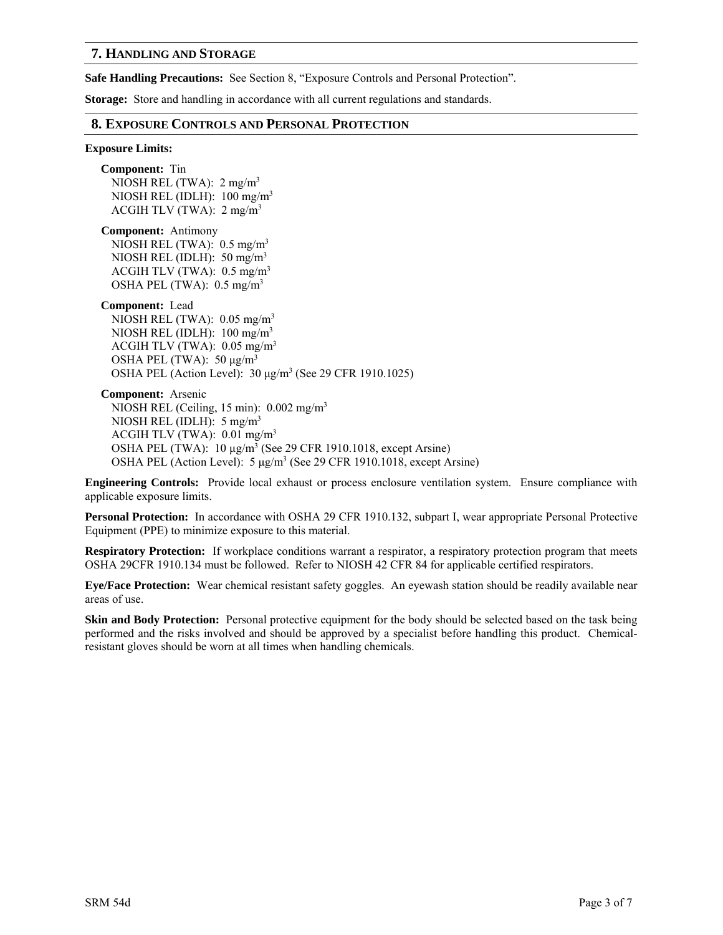# **7. HANDLING AND STORAGE**

**Safe Handling Precautions:** See Section 8, "Exposure Controls and Personal Protection".

**Storage:** Store and handling in accordance with all current regulations and standards.

## **8. EXPOSURE CONTROLS AND PERSONAL PROTECTION**

#### **Exposure Limits:**

**Component:** Tin NIOSH REL (TWA):  $2 \text{ mg/m}^3$ NIOSH REL (IDLH): 100 mg/m3 ACGIH TLV (TWA):  $2 \text{ mg/m}^3$ 

**Component:** Antimony NIOSH REL (TWA):  $0.5 \text{ mg/m}^3$ 

NIOSH REL (IDLH): 50 mg/m3 ACGIH TLV (TWA):  $0.5 \text{ mg/m}^3$ OSHA PEL (TWA): 0.5 mg/m3

**Component:** Lead

NIOSH REL (TWA):  $0.05$  mg/m<sup>3</sup> NIOSH REL (IDLH):  $100 \text{ mg/m}^3$ ACGIH TLV (TWA):  $0.05$  mg/m<sup>3</sup> OSHA PEL (TWA):  $50 \mu g/m^3$ OSHA PEL (Action Level): 30 μg/m<sup>3</sup> (See 29 CFR 1910.1025)

**Component:** Arsenic NIOSH REL (Ceiling, 15 min): 0.002 mg/m3 NIOSH REL (IDLH): 5 mg/m3 ACGIH TLV (TWA): 0.01 mg/m3 OSHA PEL (TWA): 10 μg/m<sup>3</sup> (See 29 CFR 1910.1018, except Arsine) OSHA PEL (Action Level): 5 μg/m<sup>3</sup> (See 29 CFR 1910.1018, except Arsine)

**Engineering Controls:** Provide local exhaust or process enclosure ventilation system. Ensure compliance with applicable exposure limits.

**Personal Protection:** In accordance with OSHA 29 CFR 1910.132, subpart I, wear appropriate Personal Protective Equipment (PPE) to minimize exposure to this material.

**Respiratory Protection:** If workplace conditions warrant a respirator, a respiratory protection program that meets OSHA 29CFR 1910.134 must be followed. Refer to NIOSH 42 CFR 84 for applicable certified respirators.

**Eye/Face Protection:** Wear chemical resistant safety goggles. An eyewash station should be readily available near areas of use.

**Skin and Body Protection:** Personal protective equipment for the body should be selected based on the task being performed and the risks involved and should be approved by a specialist before handling this product. Chemicalresistant gloves should be worn at all times when handling chemicals.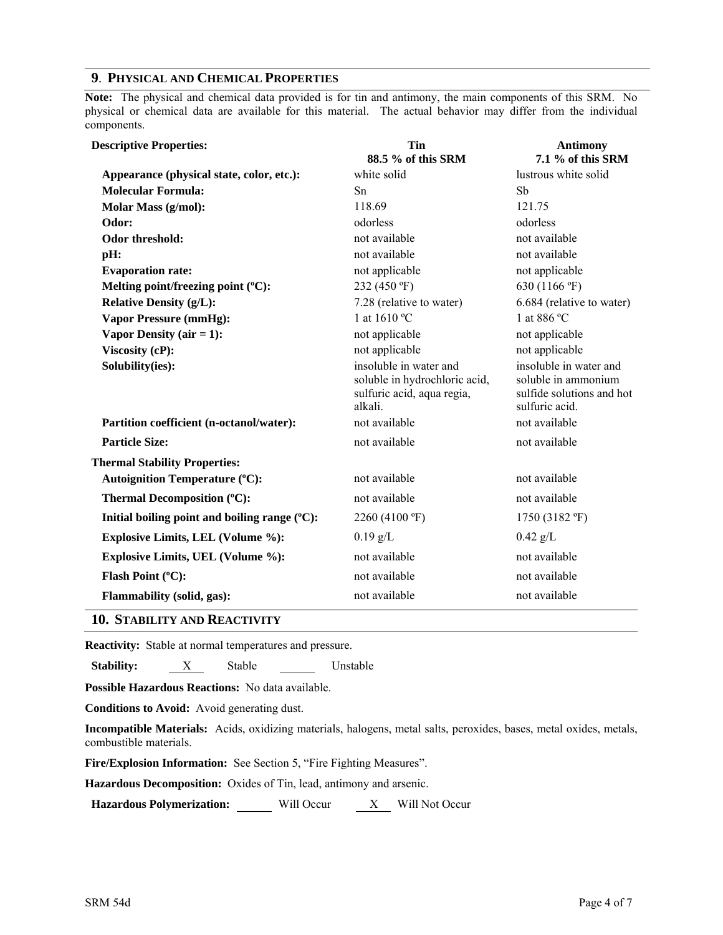# **9**. **PHYSICAL AND CHEMICAL PROPERTIES**

**Note:** The physical and chemical data provided is for tin and antimony, the main components of this SRM. No physical or chemical data are available for this material. The actual behavior may differ from the individual components.

| <b>Descriptive Properties:</b>                            | Tin<br>88.5 % of this SRM                                                                        | <b>Antimony</b><br>7.1 % of this SRM                                                         |
|-----------------------------------------------------------|--------------------------------------------------------------------------------------------------|----------------------------------------------------------------------------------------------|
| Appearance (physical state, color, etc.):                 | white solid                                                                                      | lustrous white solid                                                                         |
| <b>Molecular Formula:</b>                                 | Sn                                                                                               | Sb                                                                                           |
| <b>Molar Mass (g/mol):</b>                                | 118.69                                                                                           | 121.75                                                                                       |
| Odor:                                                     | odorless                                                                                         | odorless                                                                                     |
| Odor threshold:                                           | not available                                                                                    | not available                                                                                |
| pH:                                                       | not available                                                                                    | not available                                                                                |
| <b>Evaporation rate:</b>                                  | not applicable                                                                                   | not applicable                                                                               |
| Melting point/freezing point (°C):                        | 232 (450 °F)                                                                                     | 630 (1166 °F)                                                                                |
| <b>Relative Density (g/L):</b>                            | 7.28 (relative to water)                                                                         | 6.684 (relative to water)                                                                    |
| <b>Vapor Pressure (mmHg):</b>                             | 1 at 1610 °C                                                                                     | 1 at 886 °C                                                                                  |
| Vapor Density ( $air = 1$ ):                              | not applicable                                                                                   | not applicable                                                                               |
| Viscosity (cP):                                           | not applicable                                                                                   | not applicable                                                                               |
| Solubility(ies):                                          | insoluble in water and<br>soluble in hydrochloric acid,<br>sulfuric acid, aqua regia,<br>alkali. | insoluble in water and<br>soluble in ammonium<br>sulfide solutions and hot<br>sulfuric acid. |
| Partition coefficient (n-octanol/water):                  | not available                                                                                    | not available                                                                                |
| <b>Particle Size:</b>                                     | not available                                                                                    | not available                                                                                |
| <b>Thermal Stability Properties:</b>                      |                                                                                                  |                                                                                              |
| <b>Autoignition Temperature (°C):</b>                     | not available                                                                                    | not available                                                                                |
| Thermal Decomposition (°C):                               | not available                                                                                    | not available                                                                                |
| Initial boiling point and boiling range $({}^{\circ}C)$ : | 2260 (4100 °F)                                                                                   | 1750 (3182 °F)                                                                               |
| <b>Explosive Limits, LEL (Volume %):</b>                  | $0.19$ g/L                                                                                       | $0.42$ g/L                                                                                   |
| <b>Explosive Limits, UEL (Volume %):</b>                  | not available                                                                                    | not available                                                                                |
| Flash Point (°C):                                         | not available                                                                                    | not available                                                                                |
| <b>Flammability (solid, gas):</b>                         | not available                                                                                    | not available                                                                                |

#### **10. STABILITY AND REACTIVITY**

**Reactivity:** Stable at normal temperatures and pressure.

**Stability:** X Stable Unstable

**Possible Hazardous Reactions:** No data available.

**Conditions to Avoid:** Avoid generating dust.

**Incompatible Materials:** Acids, oxidizing materials, halogens, metal salts, peroxides, bases, metal oxides, metals, combustible materials.

**Fire/Explosion Information:** See Section 5, "Fire Fighting Measures".

**Hazardous Decomposition:** Oxides of Tin, lead, antimony and arsenic.

Hazardous Polymerization: Will Occur X Will Not Occur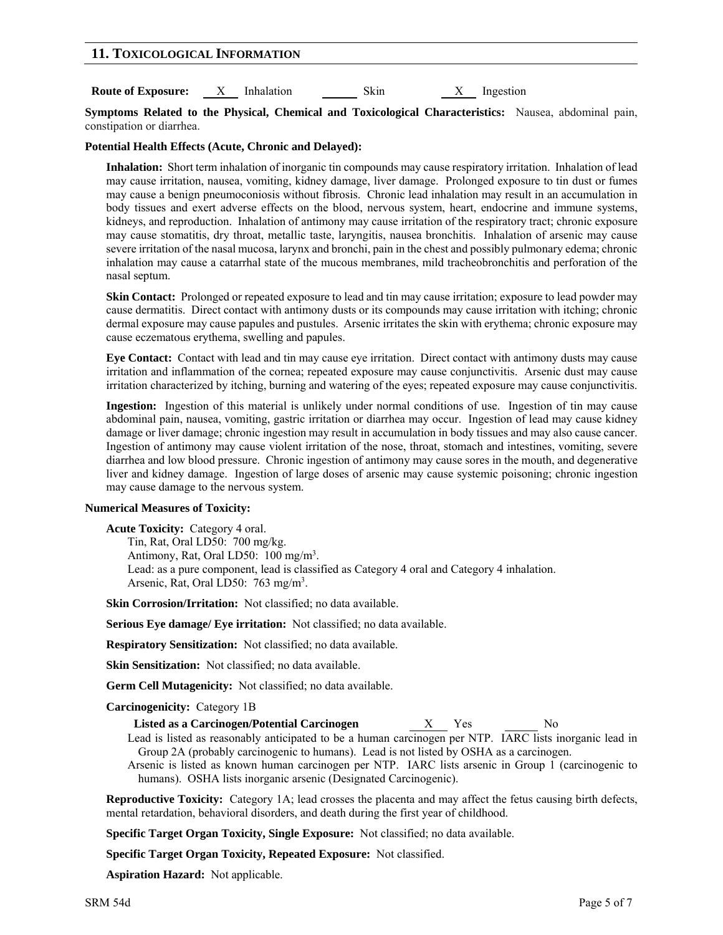# **11. TOXICOLOGICAL INFORMATION**

**Route of Exposure:**  $X$  Inhalation Skin X Ingestion

**Symptoms Related to the Physical, Chemical and Toxicological Characteristics:** Nausea, abdominal pain, constipation or diarrhea.

# **Potential Health Effects (Acute, Chronic and Delayed):**

**Inhalation:** Short term inhalation of inorganic tin compounds may cause respiratory irritation. Inhalation of lead may cause irritation, nausea, vomiting, kidney damage, liver damage. Prolonged exposure to tin dust or fumes may cause a benign pneumoconiosis without fibrosis. Chronic lead inhalation may result in an accumulation in body tissues and exert adverse effects on the blood, nervous system, heart, endocrine and immune systems, kidneys, and reproduction. Inhalation of antimony may cause irritation of the respiratory tract; chronic exposure may cause stomatitis, dry throat, metallic taste, laryngitis, nausea bronchitis. Inhalation of arsenic may cause severe irritation of the nasal mucosa, larynx and bronchi, pain in the chest and possibly pulmonary edema; chronic inhalation may cause a catarrhal state of the mucous membranes, mild tracheobronchitis and perforation of the nasal septum.

**Skin Contact:** Prolonged or repeated exposure to lead and tin may cause irritation; exposure to lead powder may cause dermatitis. Direct contact with antimony dusts or its compounds may cause irritation with itching; chronic dermal exposure may cause papules and pustules. Arsenic irritates the skin with erythema; chronic exposure may cause eczematous erythema, swelling and papules.

**Eye Contact:** Contact with lead and tin may cause eye irritation. Direct contact with antimony dusts may cause irritation and inflammation of the cornea; repeated exposure may cause conjunctivitis. Arsenic dust may cause irritation characterized by itching, burning and watering of the eyes; repeated exposure may cause conjunctivitis.

**Ingestion:** Ingestion of this material is unlikely under normal conditions of use. Ingestion of tin may cause abdominal pain, nausea, vomiting, gastric irritation or diarrhea may occur. Ingestion of lead may cause kidney damage or liver damage; chronic ingestion may result in accumulation in body tissues and may also cause cancer. Ingestion of antimony may cause violent irritation of the nose, throat, stomach and intestines, vomiting, severe diarrhea and low blood pressure. Chronic ingestion of antimony may cause sores in the mouth, and degenerative liver and kidney damage. Ingestion of large doses of arsenic may cause systemic poisoning; chronic ingestion may cause damage to the nervous system.

# **Numerical Measures of Toxicity:**

**Acute Toxicity:** Category 4 oral. Tin, Rat, Oral LD50: 700 mg/kg. Antimony, Rat, Oral LD50: 100 mg/m<sup>3</sup>. Lead: as a pure component, lead is classified as Category 4 oral and Category 4 inhalation. Arsenic, Rat, Oral LD50: 763 mg/m<sup>3</sup>.

**Skin Corrosion/Irritation:** Not classified; no data available.

**Serious Eye damage/ Eye irritation:** Not classified; no data available.

**Respiratory Sensitization:** Not classified; no data available.

**Skin Sensitization:** Not classified; no data available.

**Germ Cell Mutagenicity:** Not classified; no data available.

# **Carcinogenicity:** Category 1B

- **Listed as a Carcinogen/Potential Carcinogen** X Yes No
- Lead is listed as reasonably anticipated to be a human carcinogen per NTP. IARC lists inorganic lead in Group 2A (probably carcinogenic to humans). Lead is not listed by OSHA as a carcinogen.

Arsenic is listed as known human carcinogen per NTP. IARC lists arsenic in Group 1 (carcinogenic to humans). OSHA lists inorganic arsenic (Designated Carcinogenic).

**Reproductive Toxicity:** Category 1A; lead crosses the placenta and may affect the fetus causing birth defects, mental retardation, behavioral disorders, and death during the first year of childhood.

**Specific Target Organ Toxicity, Single Exposure:** Not classified; no data available.

**Specific Target Organ Toxicity, Repeated Exposure:** Not classified.

**Aspiration Hazard:** Not applicable.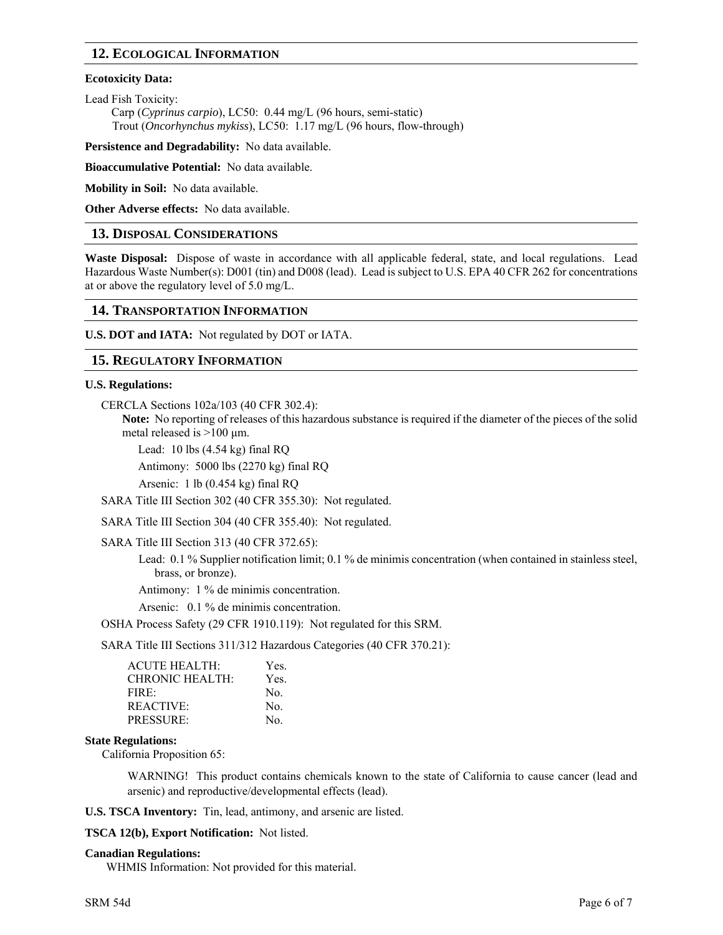# **12. ECOLOGICAL INFORMATION**

# **Ecotoxicity Data:**

Lead Fish Toxicity:

Carp (*Cyprinus carpio*), LC50: 0.44 mg/L (96 hours, semi-static) Trout (*Oncorhynchus mykiss*), LC50: 1.17 mg/L (96 hours, flow-through)

**Persistence and Degradability:** No data available.

**Bioaccumulative Potential:** No data available.

**Mobility in Soil:** No data available.

**Other Adverse effects:** No data available.

# **13. DISPOSAL CONSIDERATIONS**

**Waste Disposal:** Dispose of waste in accordance with all applicable federal, state, and local regulations. Lead Hazardous Waste Number(s): D001 (tin) and D008 (lead). Lead is subject to U.S. EPA 40 CFR 262 for concentrations at or above the regulatory level of 5.0 mg/L.

# **14. TRANSPORTATION INFORMATION**

**U.S. DOT and IATA:** Not regulated by DOT or IATA.

# **15. REGULATORY INFORMATION**

# **U.S. Regulations:**

CERCLA Sections 102a/103 (40 CFR 302.4):

**Note:** No reporting of releases of this hazardous substance is required if the diameter of the pieces of the solid metal released is  $>100 \mu$ m.

Lead:  $10$  lbs  $(4.54 \text{ kg})$  final RQ

Antimony: 5000 lbs (2270 kg) final RQ

Arsenic: 1 lb (0.454 kg) final RQ

SARA Title III Section 302 (40 CFR 355.30): Not regulated.

SARA Title III Section 304 (40 CFR 355.40): Not regulated.

SARA Title III Section 313 (40 CFR 372.65):

Lead: 0.1 % Supplier notification limit; 0.1 % de minimis concentration (when contained in stainless steel, brass, or bronze).

Antimony: 1 % de minimis concentration.

Arsenic: 0.1 % de minimis concentration.

OSHA Process Safety (29 CFR 1910.119): Not regulated for this SRM.

SARA Title III Sections 311/312 Hazardous Categories (40 CFR 370.21):

| <b>ACUTE HEALTH:</b>   | Yes. |
|------------------------|------|
| <b>CHRONIC HEALTH:</b> | Yes. |
| FIRE                   | No.  |
| REACTIVE:              | No.  |
| <b>PRESSURE:</b>       | No.  |

# **State Regulations:**

California Proposition 65:

WARNING! This product contains chemicals known to the state of California to cause cancer (lead and arsenic) and reproductive/developmental effects (lead).

**U.S. TSCA Inventory:** Tin, lead, antimony, and arsenic are listed.

**TSCA 12(b), Export Notification:** Not listed.

#### **Canadian Regulations:**

WHMIS Information: Not provided for this material.